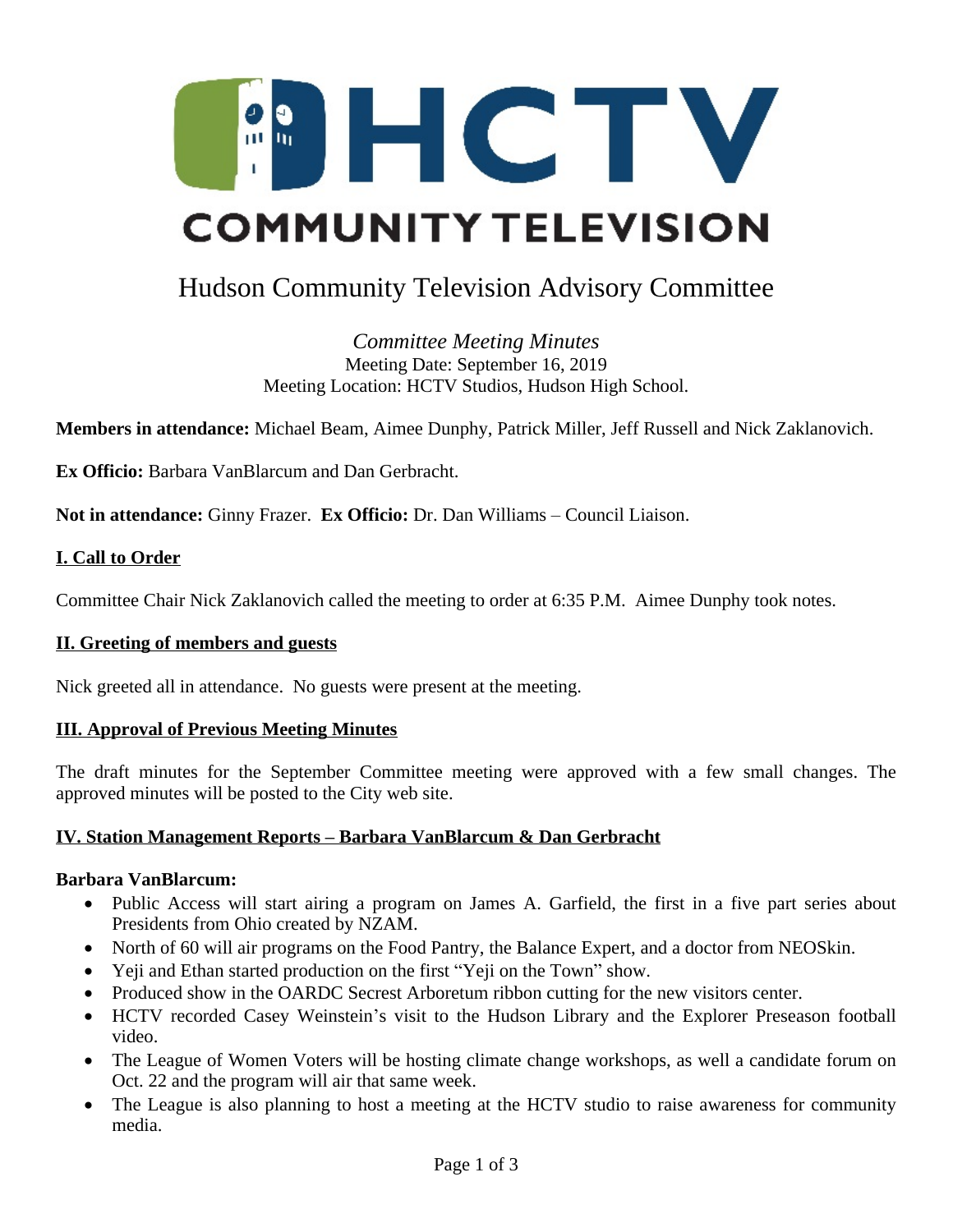

# Hudson Community Television Advisory Committee

*Committee Meeting Minutes* Meeting Date: September 16, 2019 Meeting Location: HCTV Studios, Hudson High School.

**Members in attendance:** Michael Beam, Aimee Dunphy, Patrick Miller, Jeff Russell and Nick Zaklanovich.

**Ex Officio:** Barbara VanBlarcum and Dan Gerbracht.

**Not in attendance:** Ginny Frazer. **Ex Officio:** Dr. Dan Williams – Council Liaison.

#### **I. Call to Order**

Committee Chair Nick Zaklanovich called the meeting to order at 6:35 P.M. Aimee Dunphy took notes.

#### **II. Greeting of members and guests**

Nick greeted all in attendance. No guests were present at the meeting.

#### **III. Approval of Previous Meeting Minutes**

The draft minutes for the September Committee meeting were approved with a few small changes. The approved minutes will be posted to the City web site.

#### **IV. Station Management Reports – Barbara VanBlarcum & Dan Gerbracht**

#### **Barbara VanBlarcum:**

- Public Access will start airing a program on James A. Garfield, the first in a five part series about Presidents from Ohio created by NZAM.
- North of 60 will air programs on the Food Pantry, the Balance Expert, and a doctor from NEOSkin.
- Yeji and Ethan started production on the first "Yeji on the Town" show.
- Produced show in the OARDC Secrest Arboretum ribbon cutting for the new visitors center.
- HCTV recorded Casey Weinstein's visit to the Hudson Library and the Explorer Preseason football video.
- The League of Women Voters will be hosting climate change workshops, as well a candidate forum on Oct. 22 and the program will air that same week.
- The League is also planning to host a meeting at the HCTV studio to raise awareness for community media.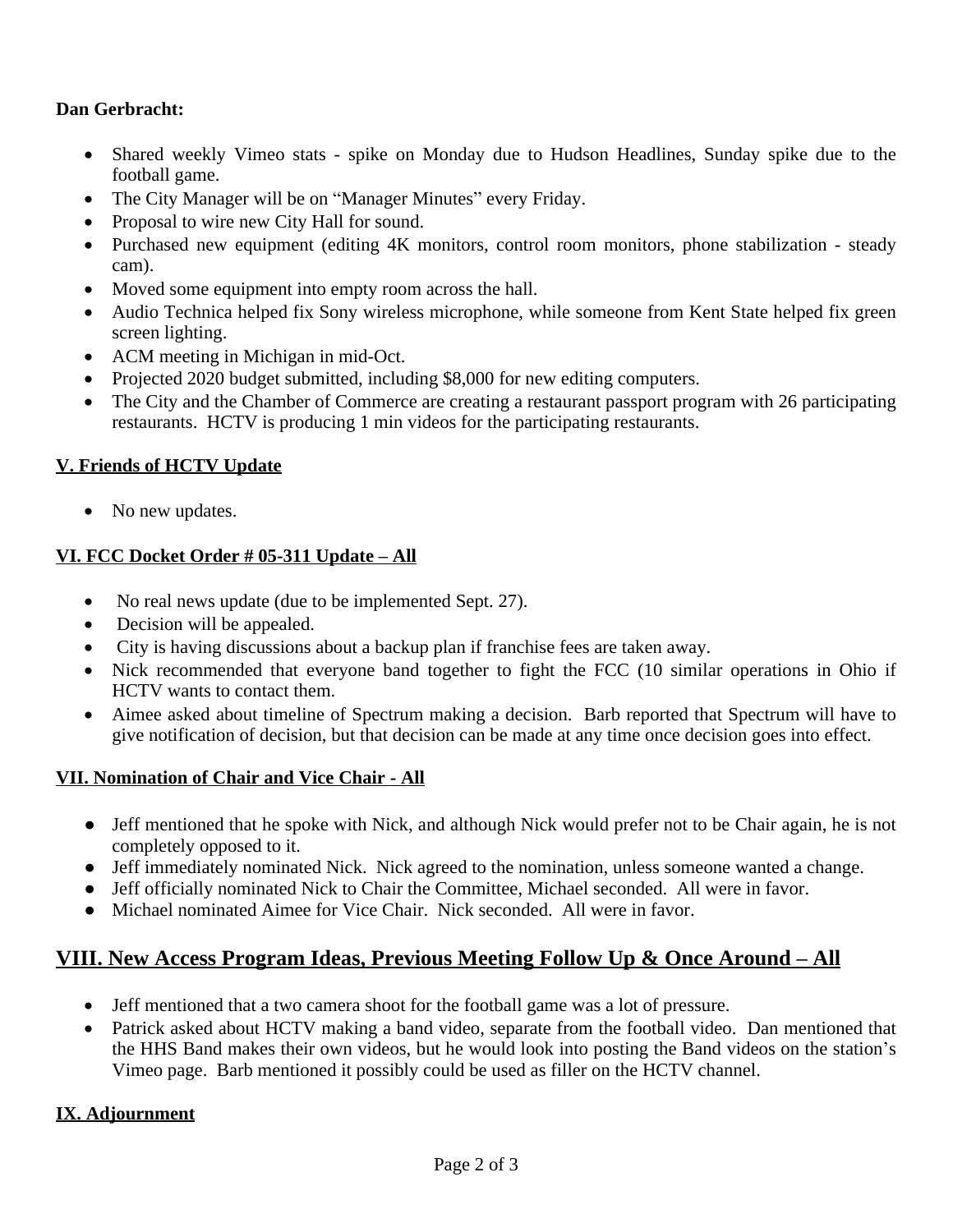## **Dan Gerbracht:**

- Shared weekly Vimeo stats spike on Monday due to Hudson Headlines, Sunday spike due to the football game.
- The City Manager will be on "Manager Minutes" every Friday.
- Proposal to wire new City Hall for sound.
- Purchased new equipment (editing 4K monitors, control room monitors, phone stabilization steady cam).
- Moved some equipment into empty room across the hall.
- Audio Technica helped fix Sony wireless microphone, while someone from Kent State helped fix green screen lighting.
- ACM meeting in Michigan in mid-Oct.
- Projected 2020 budget submitted, including \$8,000 for new editing computers.
- The City and the Chamber of Commerce are creating a restaurant passport program with 26 participating restaurants. HCTV is producing 1 min videos for the participating restaurants.

## **V. Friends of HCTV Update**

• No new updates.

## **VI. FCC Docket Order # 05-311 Update – All**

- No real news update (due to be implemented Sept. 27).
- Decision will be appealed.
- City is having discussions about a backup plan if franchise fees are taken away.
- Nick recommended that everyone band together to fight the FCC (10 similar operations in Ohio if HCTV wants to contact them.
- Aimee asked about timeline of Spectrum making a decision. Barb reported that Spectrum will have to give notification of decision, but that decision can be made at any time once decision goes into effect.

### **VII. Nomination of Chair and Vice Chair - All**

- Jeff mentioned that he spoke with Nick, and although Nick would prefer not to be Chair again, he is not completely opposed to it.
- Jeff immediately nominated Nick. Nick agreed to the nomination, unless someone wanted a change.
- Jeff officially nominated Nick to Chair the Committee, Michael seconded. All were in favor.
- Michael nominated Aimee for Vice Chair. Nick seconded. All were in favor.

## **VIII. New Access Program Ideas, Previous Meeting Follow Up & Once Around – All**

- Jeff mentioned that a two camera shoot for the football game was a lot of pressure.
- Patrick asked about HCTV making a band video, separate from the football video. Dan mentioned that the HHS Band makes their own videos, but he would look into posting the Band videos on the station's Vimeo page. Barb mentioned it possibly could be used as filler on the HCTV channel.

## **IX. Adjournment**